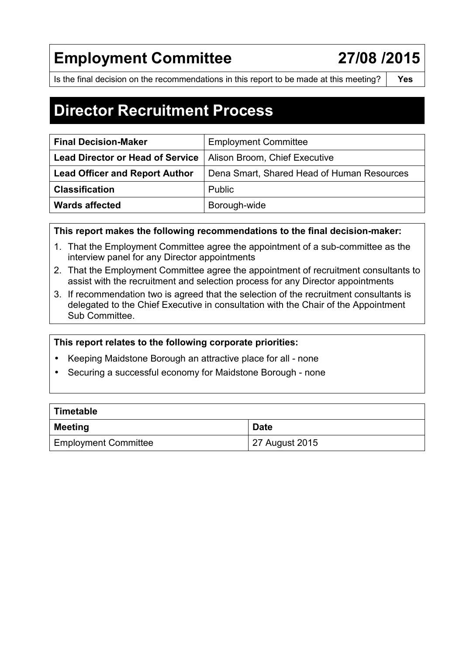# **Employment Committee 27/08 /2015**

Is the final decision on the recommendations in this report to be made at this meeting? **Yes** 

## **Director Recruitment Process**

| <b>Final Decision-Maker</b>             | <b>Employment Committee</b>                |
|-----------------------------------------|--------------------------------------------|
| <b>Lead Director or Head of Service</b> | Alison Broom, Chief Executive              |
| <b>Lead Officer and Report Author</b>   | Dena Smart, Shared Head of Human Resources |
| <b>Classification</b>                   | <b>Public</b>                              |
| <b>Wards affected</b>                   | Borough-wide                               |

**This report makes the following recommendations to the final decision-maker:** 

- 1. That the Employment Committee agree the appointment of a sub-committee as the interview panel for any Director appointments
- 2. That the Employment Committee agree the appointment of recruitment consultants to assist with the recruitment and selection process for any Director appointments
- 3. If recommendation two is agreed that the selection of the recruitment consultants is delegated to the Chief Executive in consultation with the Chair of the Appointment Sub Committee.

#### **This report relates to the following corporate priorities:**

- Keeping Maidstone Borough an attractive place for all none
- Securing a successful economy for Maidstone Borough none

| Timetable                   |                |  |  |
|-----------------------------|----------------|--|--|
| <b>Meeting</b>              | <b>Date</b>    |  |  |
| <b>Employment Committee</b> | 27 August 2015 |  |  |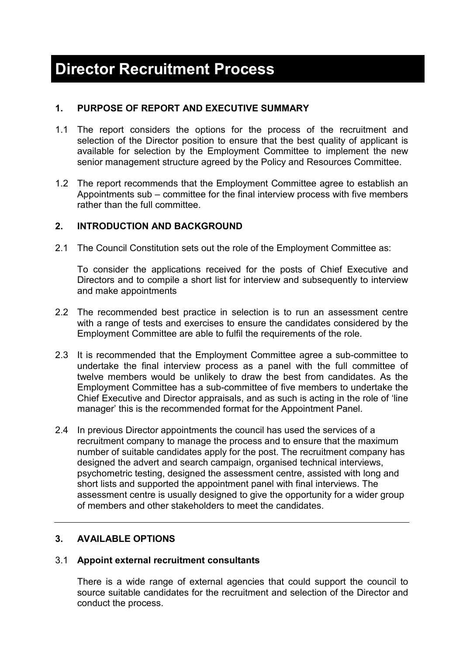## **1. PURPOSE OF REPORT AND EXECUTIVE SUMMARY**

- 1.1 The report considers the options for the process of the recruitment and selection of the Director position to ensure that the best quality of applicant is available for selection by the Employment Committee to implement the new senior management structure agreed by the Policy and Resources Committee.
- 1.2 The report recommends that the Employment Committee agree to establish an Appointments sub – committee for the final interview process with five members rather than the full committee.

## **2. INTRODUCTION AND BACKGROUND**

2.1 The Council Constitution sets out the role of the Employment Committee as:

To consider the applications received for the posts of Chief Executive and Directors and to compile a short list for interview and subsequently to interview and make appointments

- 2.2 The recommended best practice in selection is to run an assessment centre with a range of tests and exercises to ensure the candidates considered by the Employment Committee are able to fulfil the requirements of the role.
- 2.3 It is recommended that the Employment Committee agree a sub-committee to undertake the final interview process as a panel with the full committee of twelve members would be unlikely to draw the best from candidates. As the Employment Committee has a sub-committee of five members to undertake the Chief Executive and Director appraisals, and as such is acting in the role of 'line manager' this is the recommended format for the Appointment Panel.
- 2.4 In previous Director appointments the council has used the services of a recruitment company to manage the process and to ensure that the maximum number of suitable candidates apply for the post. The recruitment company has designed the advert and search campaign, organised technical interviews, psychometric testing, designed the assessment centre, assisted with long and short lists and supported the appointment panel with final interviews. The assessment centre is usually designed to give the opportunity for a wider group of members and other stakeholders to meet the candidates.

## **3. AVAILABLE OPTIONS**

## 3.1 **Appoint external recruitment consultants**

There is a wide range of external agencies that could support the council to source suitable candidates for the recruitment and selection of the Director and conduct the process.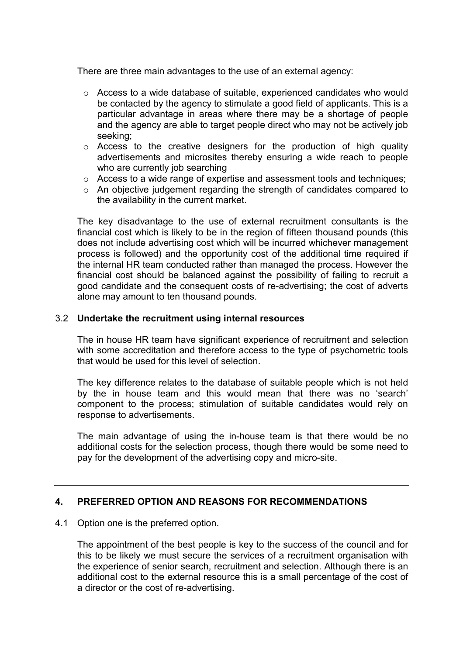There are three main advantages to the use of an external agency:

- o Access to a wide database of suitable, experienced candidates who would be contacted by the agency to stimulate a good field of applicants. This is a particular advantage in areas where there may be a shortage of people and the agency are able to target people direct who may not be actively job seeking;
- o Access to the creative designers for the production of high quality advertisements and microsites thereby ensuring a wide reach to people who are currently job searching
- o Access to a wide range of expertise and assessment tools and techniques;
- o An objective judgement regarding the strength of candidates compared to the availability in the current market.

The key disadvantage to the use of external recruitment consultants is the financial cost which is likely to be in the region of fifteen thousand pounds (this does not include advertising cost which will be incurred whichever management process is followed) and the opportunity cost of the additional time required if the internal HR team conducted rather than managed the process. However the financial cost should be balanced against the possibility of failing to recruit a good candidate and the consequent costs of re-advertising; the cost of adverts alone may amount to ten thousand pounds.

#### 3.2 **Undertake the recruitment using internal resources**

The in house HR team have significant experience of recruitment and selection with some accreditation and therefore access to the type of psychometric tools that would be used for this level of selection.

The key difference relates to the database of suitable people which is not held by the in house team and this would mean that there was no 'search' component to the process; stimulation of suitable candidates would rely on response to advertisements.

The main advantage of using the in-house team is that there would be no additional costs for the selection process, though there would be some need to pay for the development of the advertising copy and micro-site.

#### **4. PREFERRED OPTION AND REASONS FOR RECOMMENDATIONS**

#### 4.1 Option one is the preferred option.

The appointment of the best people is key to the success of the council and for this to be likely we must secure the services of a recruitment organisation with the experience of senior search, recruitment and selection. Although there is an additional cost to the external resource this is a small percentage of the cost of a director or the cost of re-advertising.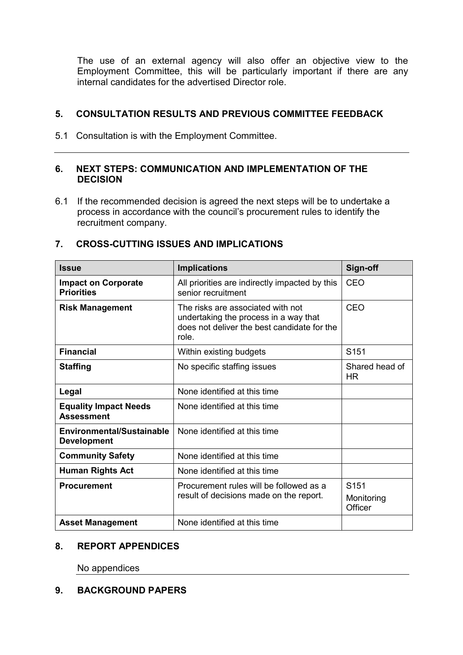The use of an external agency will also offer an objective view to the Employment Committee, this will be particularly important if there are any internal candidates for the advertised Director role.

## **5. CONSULTATION RESULTS AND PREVIOUS COMMITTEE FEEDBACK**

5.1 Consultation is with the Employment Committee.

#### **6. NEXT STEPS: COMMUNICATION AND IMPLEMENTATION OF THE DECISION**

6.1 If the recommended decision is agreed the next steps will be to undertake a process in accordance with the council's procurement rules to identify the recruitment company.

| <b>Issue</b>                                      | <b>Implications</b>                                                                                                                | Sign-off                                  |
|---------------------------------------------------|------------------------------------------------------------------------------------------------------------------------------------|-------------------------------------------|
| <b>Impact on Corporate</b><br><b>Priorities</b>   | All priorities are indirectly impacted by this<br>senior recruitment                                                               | <b>CEO</b>                                |
| <b>Risk Management</b>                            | The risks are associated with not<br>undertaking the process in a way that<br>does not deliver the best candidate for the<br>role. | CEO                                       |
| <b>Financial</b>                                  | Within existing budgets                                                                                                            | S151                                      |
| <b>Staffing</b>                                   | No specific staffing issues                                                                                                        | Shared head of<br>HR                      |
| Legal                                             | None identified at this time                                                                                                       |                                           |
| <b>Equality Impact Needs</b><br><b>Assessment</b> | None identified at this time                                                                                                       |                                           |
| Environmental/Sustainable<br><b>Development</b>   | None identified at this time                                                                                                       |                                           |
| <b>Community Safety</b>                           | None identified at this time                                                                                                       |                                           |
| <b>Human Rights Act</b>                           | None identified at this time                                                                                                       |                                           |
| <b>Procurement</b>                                | Procurement rules will be followed as a<br>result of decisions made on the report.                                                 | S <sub>151</sub><br>Monitoring<br>Officer |
| <b>Asset Management</b>                           | None identified at this time                                                                                                       |                                           |

#### **7. CROSS-CUTTING ISSUES AND IMPLICATIONS**

#### **8. REPORT APPENDICES**

No appendices

#### **9. BACKGROUND PAPERS**